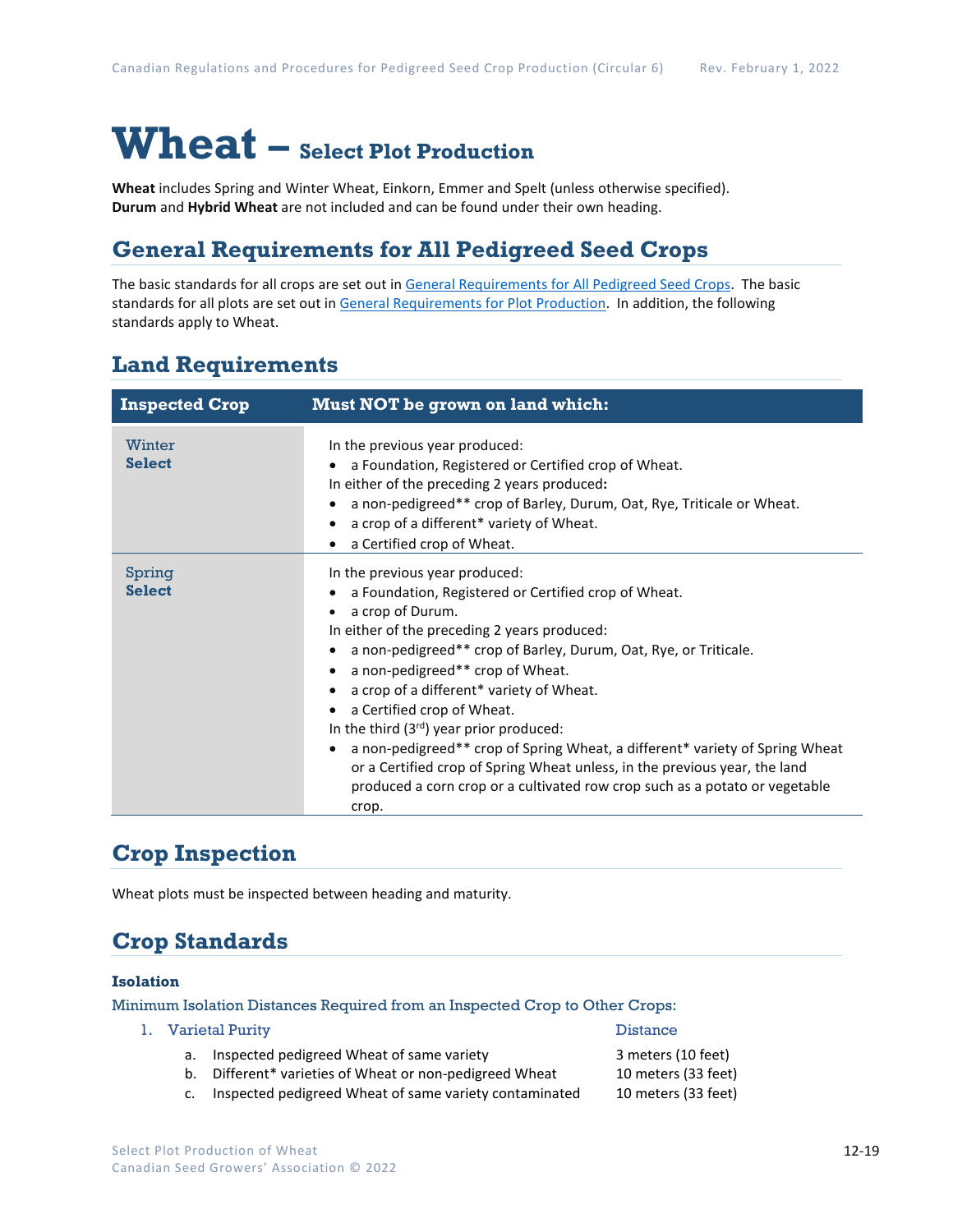# **Wheat – Select Plot Production**

**Wheat** includes Spring and Winter Wheat, Einkorn, Emmer and Spelt (unless otherwise specified). **Durum** and **Hybrid Wheat** are not included and can be found under their own heading.

# **General Requirements for All Pedigreed Seed Crops**

The basic standards for all crops are set out i[n General Requirements for All Pedigreed Seed](https://seedgrowers.ca/wp-content/uploads/2020/01/GENERAL-REQUIREMENTS-ALL-CROPS_EN.pdf) Crops. The basic standards for all plots are set out i[n General Requirements for Plot Production.](https://seedgrowers.ca/wp-content/uploads/2020/01/GENERAL-REQUIREMENTS-PLOTS_EN.pdf) In addition, the following standards apply to Wheat.

### **Land Requirements**

| <b>Inspected Crop</b>   | Must NOT be grown on land which:                                                                                                                                                                                                                                                                                                                                                                                                                                                                                                                                                                                                                |
|-------------------------|-------------------------------------------------------------------------------------------------------------------------------------------------------------------------------------------------------------------------------------------------------------------------------------------------------------------------------------------------------------------------------------------------------------------------------------------------------------------------------------------------------------------------------------------------------------------------------------------------------------------------------------------------|
| Winter<br><b>Select</b> | In the previous year produced:<br>a Foundation, Registered or Certified crop of Wheat.<br>In either of the preceding 2 years produced:<br>a non-pedigreed** crop of Barley, Durum, Oat, Rye, Triticale or Wheat.<br>a crop of a different* variety of Wheat.<br>a Certified crop of Wheat.                                                                                                                                                                                                                                                                                                                                                      |
| Spring<br><b>Select</b> | In the previous year produced:<br>a Foundation, Registered or Certified crop of Wheat.<br>a crop of Durum.<br>In either of the preceding 2 years produced:<br>a non-pedigreed** crop of Barley, Durum, Oat, Rye, or Triticale.<br>a non-pedigreed** crop of Wheat.<br>a crop of a different* variety of Wheat.<br>a Certified crop of Wheat.<br>In the third $(3rd)$ year prior produced:<br>a non-pedigreed** crop of Spring Wheat, a different* variety of Spring Wheat<br>or a Certified crop of Spring Wheat unless, in the previous year, the land<br>produced a corn crop or a cultivated row crop such as a potato or vegetable<br>crop. |

# **Crop Inspection**

Wheat plots must be inspected between heading and maturity.

# **Crop Standards**

#### **Isolation**

Minimum Isolation Distances Required from an Inspected Crop to Other Crops:

- 1. Varietal Purity **Distance Distance Distance** 
	- a. Inspected pedigreed Wheat of same variety **3** meters (10 feet)
	- b. Different\* varieties of Wheat or non-pedigreed Wheat 10 meters (33 feet)
	- c. Inspected pedigreed Wheat of same variety contaminated 10 meters (33 feet)